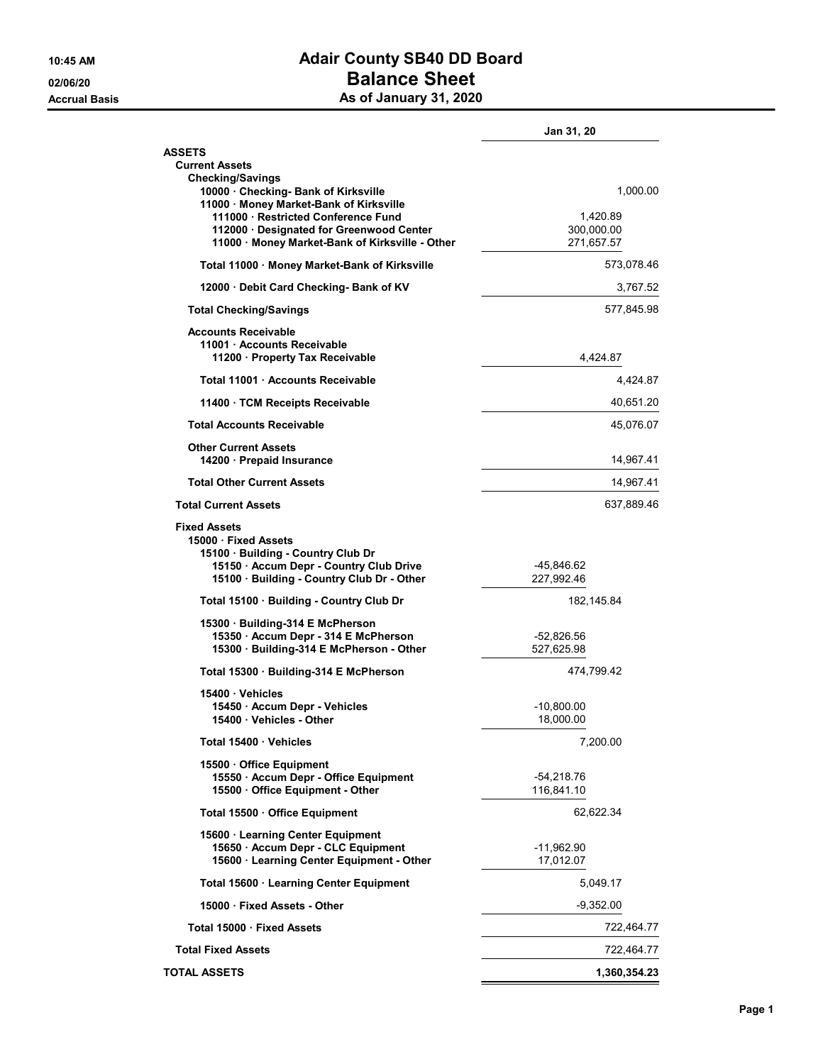## 10:45 AM **Adair County SB40 DD Board** 02/06/20 **Balance Sheet** Accrual Basis **Accrual Basis** As of January 31, 2020

|                                                                                                                                                                        | Jan 31, 20                 |           |  |
|------------------------------------------------------------------------------------------------------------------------------------------------------------------------|----------------------------|-----------|--|
| <b>ASSETS</b><br><b>Current Assets</b><br><b>Checking/Savings</b>                                                                                                      |                            |           |  |
| 10000 Checking- Bank of Kirksville<br>11000 · Money Market-Bank of Kirksville                                                                                          |                            | 1,000.00  |  |
| 111000 · Restricted Conference Fund<br>112000 · Designated for Greenwood Center<br>11000 · Money Market-Bank of Kirksville - Other                                     | 300,000.00<br>271,657.57   | 1,420.89  |  |
| Total 11000 Money Market-Bank of Kirksville                                                                                                                            | 573,078.46                 |           |  |
| 12000 Debit Card Checking- Bank of KV                                                                                                                                  | 3,767.52                   |           |  |
| <b>Total Checking/Savings</b>                                                                                                                                          | 577,845.98                 |           |  |
| <b>Accounts Receivable</b><br>11001 Accounts Receivable<br>11200 Property Tax Receivable                                                                               | 4,424.87                   |           |  |
| Total 11001 Accounts Receivable                                                                                                                                        | 4,424.87                   |           |  |
| 11400 TCM Receipts Receivable                                                                                                                                          | 40,651.20                  |           |  |
| <b>Total Accounts Receivable</b>                                                                                                                                       |                            | 45,076.07 |  |
| <b>Other Current Assets</b><br>14200 · Prepaid Insurance                                                                                                               | 14,967.41                  |           |  |
| <b>Total Other Current Assets</b>                                                                                                                                      | 14,967.41                  |           |  |
| <b>Total Current Assets</b>                                                                                                                                            | 637,889.46                 |           |  |
| <b>Fixed Assets</b><br>15000 Fixed Assets<br>15100 Building - Country Club Dr<br>15150 · Accum Depr - Country Club Drive<br>15100 · Building - Country Club Dr - Other | -45,846.62<br>227,992.46   |           |  |
| Total 15100 · Building - Country Club Dr                                                                                                                               | 182,145.84                 |           |  |
| 15300 Building-314 E McPherson                                                                                                                                         |                            |           |  |
| 15350 · Accum Depr - 314 E McPherson<br>15300 · Building-314 E McPherson - Other                                                                                       | -52,826.56<br>527,625.98   |           |  |
| Total 15300 Building-314 E McPherson                                                                                                                                   | 474,799.42                 |           |  |
| 15400 Vehicles<br>15450 · Accum Depr - Vehicles<br>15400 Vehicles - Other                                                                                              | -10,800.00<br>18,000.00    |           |  |
| Total 15400 Vehicles                                                                                                                                                   | 7,200.00                   |           |  |
| 15500 Office Equipment<br>15550 · Accum Depr - Office Equipment<br>15500 Office Equipment - Other                                                                      | $-54,218.76$<br>116,841.10 |           |  |
| Total 15500 Office Equipment                                                                                                                                           | 62,622.34                  |           |  |
| 15600 · Learning Center Equipment<br>15650 · Accum Depr - CLC Equipment<br>15600 · Learning Center Equipment - Other                                                   | -11,962.90<br>17,012.07    |           |  |
| Total 15600 · Learning Center Equipment                                                                                                                                |                            | 5,049.17  |  |
| 15000 Fixed Assets - Other                                                                                                                                             | $-9,352.00$                |           |  |
| Total 15000 · Fixed Assets                                                                                                                                             | 722,464.77                 |           |  |
| <b>Total Fixed Assets</b>                                                                                                                                              | 722,464.77                 |           |  |
| <b>TOTAL ASSETS</b>                                                                                                                                                    | 1,360,354.23               |           |  |